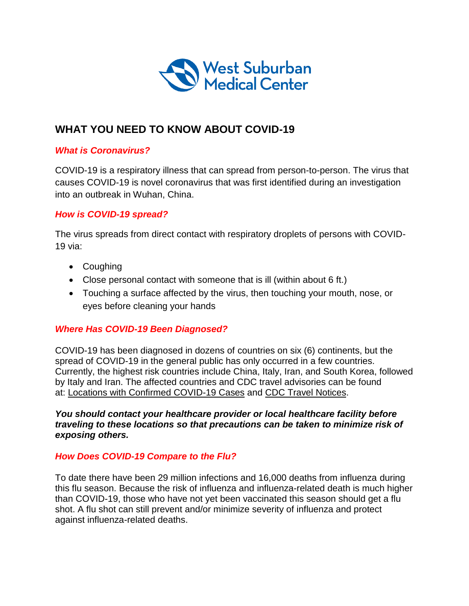

# **WHAT YOU NEED TO KNOW ABOUT COVID-19**

## *What is Coronavirus?*

COVID-19 is a respiratory illness that can spread from person-to-person. The virus that causes COVID-19 is novel coronavirus that was first identified during an investigation into an outbreak in Wuhan, China.

## *How is COVID-19 spread?*

The virus spreads from direct contact with respiratory droplets of persons with COVID-19 via:

- Coughing
- Close personal contact with someone that is ill (within about 6 ft.)
- Touching a surface affected by the virus, then touching your mouth, nose, or eyes before cleaning your hands

#### *Where Has COVID-19 Been Diagnosed?*

COVID-19 has been diagnosed in dozens of countries on six (6) continents, but the spread of COVID-19 in the general public has only occurred in a few countries. Currently, the highest risk countries include China, Italy, Iran, and South Korea, followed by Italy and Iran. The affected countries and CDC travel advisories can be found at: [Locations with Confirmed COVID-19 Cases](https://www.cdc.gov/coronavirus/2019-ncov/locations-confirmed-cases.html#map) and [CDC Travel Notices.](https://wwwnc.cdc.gov/travel/notices)

*You should contact your healthcare provider or local healthcare facility before traveling to these locations so that precautions can be taken to minimize risk of exposing others.*

#### *How Does COVID-19 Compare to the Flu?*

To date there have been 29 million infections and 16,000 deaths from influenza during this flu season. Because the risk of influenza and influenza-related death is much higher than COVID-19, those who have not yet been vaccinated this season should get a flu shot. A flu shot can still prevent and/or minimize severity of influenza and protect against influenza-related deaths.